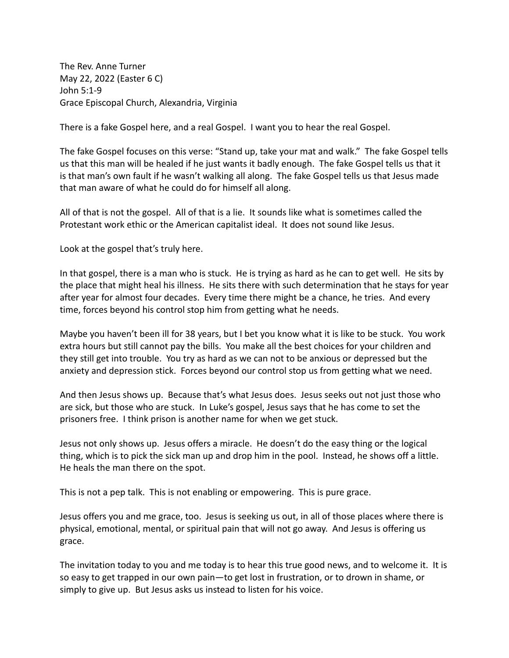The Rev. Anne Turner May 22, 2022 (Easter 6 C) John 5:1-9 Grace Episcopal Church, Alexandria, Virginia

There is a fake Gospel here, and a real Gospel. I want you to hear the real Gospel.

The fake Gospel focuses on this verse: "Stand up, take your mat and walk." The fake Gospel tells us that this man will be healed if he just wants it badly enough. The fake Gospel tells us that it is that man's own fault if he wasn't walking all along. The fake Gospel tells us that Jesus made that man aware of what he could do for himself all along.

All of that is not the gospel. All of that is a lie. It sounds like what is sometimes called the Protestant work ethic or the American capitalist ideal. It does not sound like Jesus.

Look at the gospel that's truly here.

In that gospel, there is a man who is stuck. He is trying as hard as he can to get well. He sits by the place that might heal his illness. He sits there with such determination that he stays for year after year for almost four decades. Every time there might be a chance, he tries. And every time, forces beyond his control stop him from getting what he needs.

Maybe you haven't been ill for 38 years, but I bet you know what it is like to be stuck. You work extra hours but still cannot pay the bills. You make all the best choices for your children and they still get into trouble. You try as hard as we can not to be anxious or depressed but the anxiety and depression stick. Forces beyond our control stop us from getting what we need.

And then Jesus shows up. Because that's what Jesus does. Jesus seeks out not just those who are sick, but those who are stuck. In Luke's gospel, Jesus says that he has come to set the prisoners free. I think prison is another name for when we get stuck.

Jesus not only shows up. Jesus offers a miracle. He doesn't do the easy thing or the logical thing, which is to pick the sick man up and drop him in the pool. Instead, he shows off a little. He heals the man there on the spot.

This is not a pep talk. This is not enabling or empowering. This is pure grace.

Jesus offers you and me grace, too. Jesus is seeking us out, in all of those places where there is physical, emotional, mental, or spiritual pain that will not go away. And Jesus is offering us grace.

The invitation today to you and me today is to hear this true good news, and to welcome it. It is so easy to get trapped in our own pain—to get lost in frustration, or to drown in shame, or simply to give up. But Jesus asks us instead to listen for his voice.